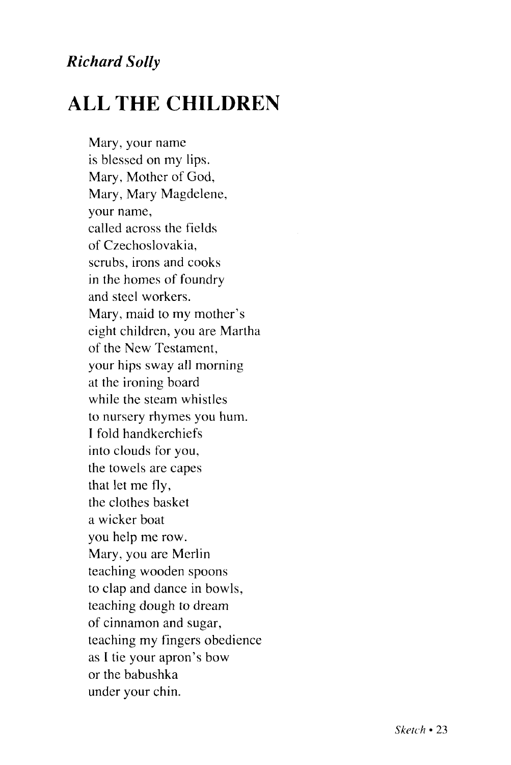## *Richard Solly*

## **ALL THE CHILDREN**

Mary, your name is blessed on my lips. Mary, Mother of God, Mary, Mary Magdelene, your name, called across the fields of Czechoslovakia, scrubs, irons and cooks in the homes of foundry and steel workers. Mary, maid to my mother's eight children, you are Martha of the New Testament, your hips sway all morning at the ironing board while the steam whistles to nursery rhymes you hum. I fold handkerchiefs into clouds for you, the towels are capes that let me fly, the clothes basket a wicker boat you help me row. Mary, you are Merlin teaching wooden spoons to clap and dance in bowls, teaching dough to dream of cinnamon and sugar, teaching my fingers obedience as I tie your apron's bow or the babushka under your chin.